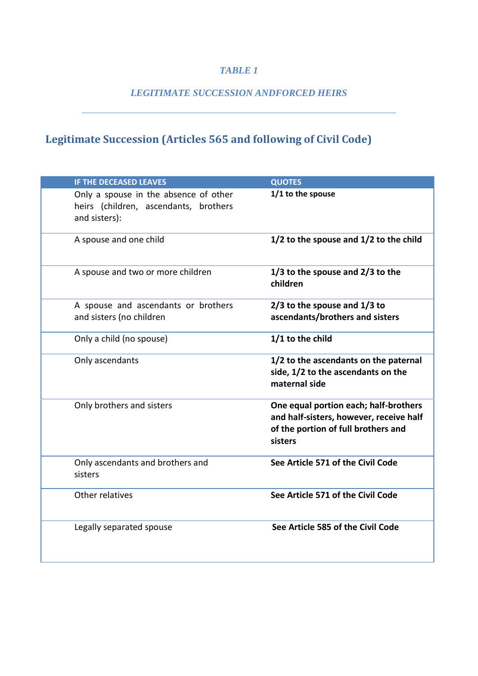## *TABLE 1*

## *LEGITIMATE SUCCESSION ANDFORCED HEIRS*

## **Legitimate Succession (Articles 565 and following of Civil Code)**

| <b>IF THE DECEASED LEAVES</b>                                                                   | <b>QUOTES</b>                                                                                                                      |
|-------------------------------------------------------------------------------------------------|------------------------------------------------------------------------------------------------------------------------------------|
| Only a spouse in the absence of other<br>heirs (children, ascendants, brothers<br>and sisters): | 1/1 to the spouse                                                                                                                  |
| A spouse and one child                                                                          | 1/2 to the spouse and 1/2 to the child                                                                                             |
| A spouse and two or more children                                                               | 1/3 to the spouse and 2/3 to the<br>children                                                                                       |
| A spouse and ascendants or brothers<br>and sisters (no children                                 | $2/3$ to the spouse and $1/3$ to<br>ascendants/brothers and sisters                                                                |
| Only a child (no spouse)                                                                        | 1/1 to the child                                                                                                                   |
| Only ascendants                                                                                 | 1/2 to the ascendants on the paternal<br>side, 1/2 to the ascendants on the<br>maternal side                                       |
| Only brothers and sisters                                                                       | One equal portion each; half-brothers<br>and half-sisters, however, receive half<br>of the portion of full brothers and<br>sisters |
| Only ascendants and brothers and<br>sisters                                                     | See Article 571 of the Civil Code                                                                                                  |
| Other relatives                                                                                 | See Article 571 of the Civil Code                                                                                                  |
| Legally separated spouse                                                                        | See Article 585 of the Civil Code                                                                                                  |